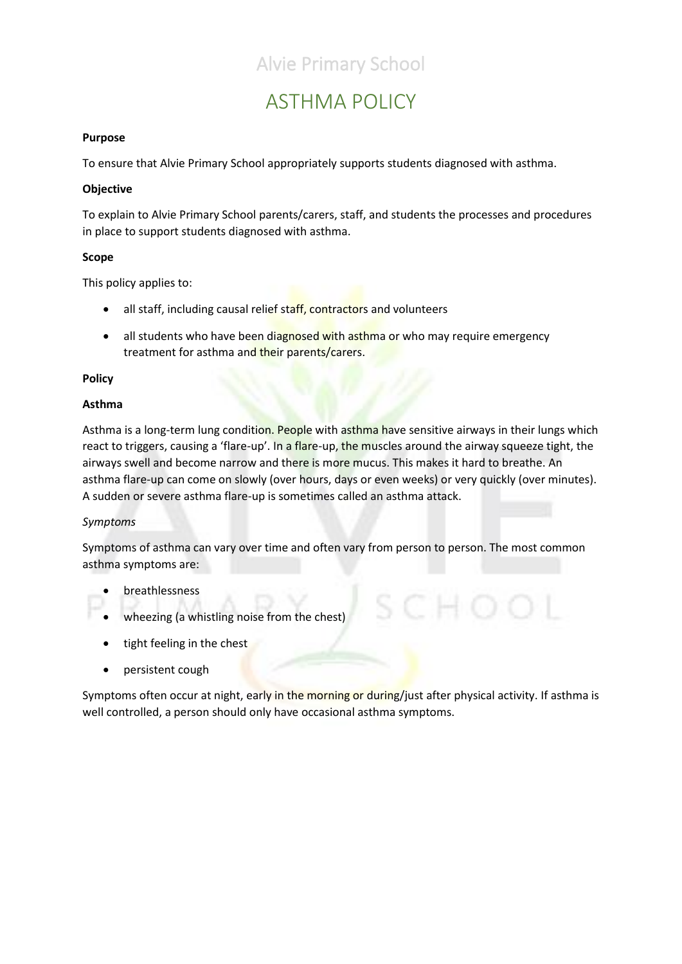## ASTHMA POLICY

### **Purpose**

To ensure that Alvie Primary School appropriately supports students diagnosed with asthma.

### **Objective**

To explain to Alvie Primary School parents/carers, staff, and students the processes and procedures in place to support students diagnosed with asthma.

#### **Scope**

This policy applies to:

- all staff, including causal relief staff, contractors and volunteers
- all students who have been diagnosed with asthma or who may require emergency treatment for asthma and their parents/carers.

#### **Policy**

#### **Asthma**

Asthma is a long-term lung condition. People with asthma have sensitive airways in their lungs which react to triggers, causing a 'flare-up'. In a flare-up, the muscles around the airway squeeze tight, the airways swell and become narrow and there is more mucus. This makes it hard to breathe. An asthma flare-up can come on slowly (over hours, days or even weeks) or very quickly (over minutes). A sudden or severe asthma flare-up is sometimes called an asthma attack.

### *Symptoms*

Symptoms of asthma can vary over time and often vary from person to person. The most common asthma symptoms are:

- breathlessness
- wheezing (a whistling noise from the chest)
- tight feeling in the chest
- persistent cough

Symptoms often occur at night, early in the morning or during/just after physical activity. If asthma is well controlled, a person should only have occasional asthma symptoms.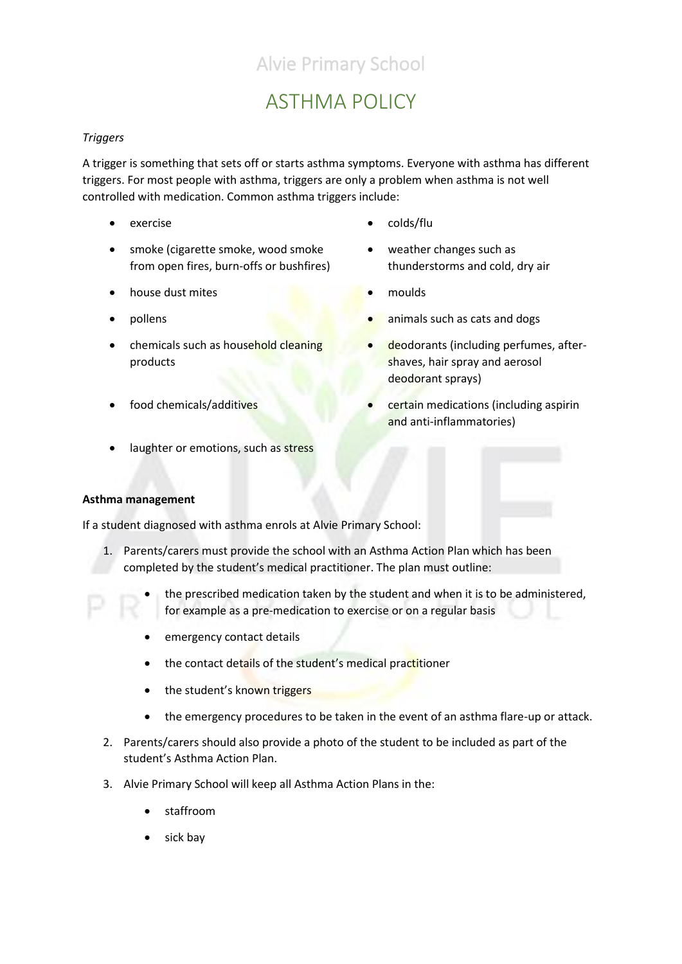## ASTHMA POLICY

### *Triggers*

A trigger is something that sets off or starts asthma symptoms. Everyone with asthma has different triggers. For most people with asthma, triggers are only a problem when asthma is not well controlled with medication. Common asthma triggers include:

- 
- smoke (cigarette smoke, wood smoke from open fires, burn-offs or bushfires)
- house dust mites **and the set of the set of the set of the set of the set of the set of the set of the set of the set of the set of the set of the set of the set of the set of the set of the set of the set of the set of th**
- 
- chemicals such as household cleaning products
- 
- laughter or emotions, such as stress
- **Asthma management**

If a student diagnosed with asthma enrols at Alvie Primary School:

- 1. Parents/carers must provide the school with an Asthma Action Plan which has been completed by the student's medical practitioner. The plan must outline:
	- the prescribed medication taken by the student and when it is to be administered, for example as a pre-medication to exercise or on a regular basis
	- emergency contact details
	- the contact details of the student's medical practitioner
	- the student's known triggers
	- the emergency procedures to be taken in the event of an asthma flare-up or attack.
- 2. Parents/carers should also provide a photo of the student to be included as part of the student's Asthma Action Plan.
- 3. Alvie Primary School will keep all Asthma Action Plans in the:
	- staffroom
	- sick bay
- exercise colds/flu
	- weather changes such as thunderstorms and cold, dry air
	-
- **•** animals such as cats and dogs
	- deodorants (including perfumes, aftershaves, hair spray and aerosol deodorant sprays)
- **Food chemicals/additives • certain medications (including aspirin**) and anti-inflammatories)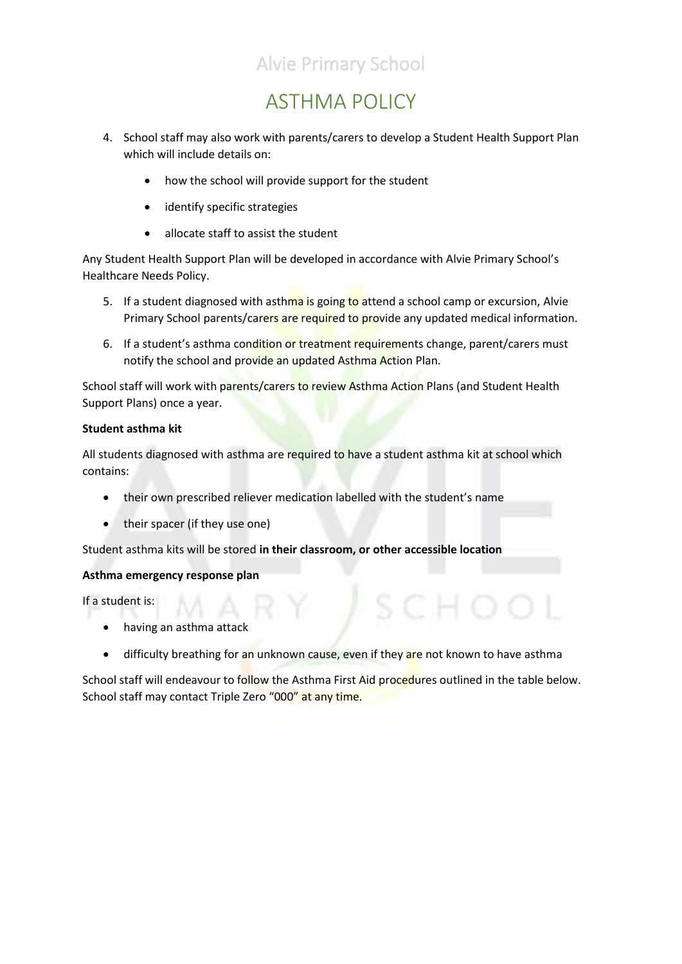## ASTHMA POLICY

- 4. School staff may also work with parents/carers to develop a Student Health Support Plan which will include details on:
	- how the school will provide support for the student
	- identify specific strategies
	- allocate staff to assist the student

Any Student Health Support Plan will be developed in accordance with Alvie Primary School's Healthcare Needs Policy.

- 5. If a student diagnosed with asthma is going to attend a school camp or excursion, Alvie Primary School parents/carers are required to provide any updated medical information.
- 6. If a student's asthma condition or treatment requirements change, parent/carers must notify the school and provide an updated Asthma Action Plan.

School staff will work with parents/carers to review Asthma Action Plans (and Student Health Support Plans) once a year.

### **Student asthma kit**

All students diagnosed with asthma are required to have a student asthma kit at school which contains:

- their own prescribed reliever medication labelled with the student's name
- their spacer (if they use one)

Student asthma kits will be stored **in their classroom, or other accessible location**

### **Asthma emergency response plan**

If a student is:

- having an asthma attack
- difficulty breathing for an unknown cause, even if they are not known to have asthma

School staff will endeavour to follow the Asthma First Aid procedures outlined in the table below. School staff may contact Triple Zero "000" at any time.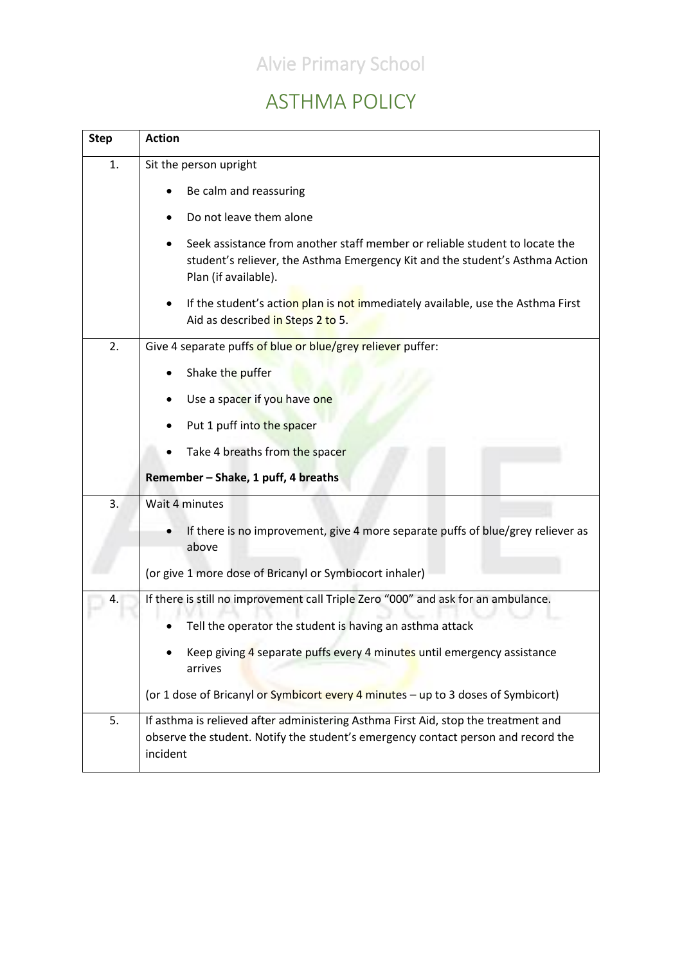## ASTHMA POLICY

| <b>Step</b> | <b>Action</b>                                                                                                                                                                       |  |  |  |  |  |
|-------------|-------------------------------------------------------------------------------------------------------------------------------------------------------------------------------------|--|--|--|--|--|
| 1.          | Sit the person upright                                                                                                                                                              |  |  |  |  |  |
|             | Be calm and reassuring                                                                                                                                                              |  |  |  |  |  |
|             | Do not leave them alone                                                                                                                                                             |  |  |  |  |  |
|             | Seek assistance from another staff member or reliable student to locate the<br>student's reliever, the Asthma Emergency Kit and the student's Asthma Action<br>Plan (if available). |  |  |  |  |  |
|             | If the student's action plan is not immediately available, use the Asthma First<br>Aid as described in Steps 2 to 5.                                                                |  |  |  |  |  |
| 2.          | Give 4 separate puffs of blue or blue/grey reliever puffer:                                                                                                                         |  |  |  |  |  |
|             | Shake the puffer                                                                                                                                                                    |  |  |  |  |  |
|             | Use a spacer if you have one                                                                                                                                                        |  |  |  |  |  |
|             | Put 1 puff into the spacer                                                                                                                                                          |  |  |  |  |  |
|             | Take 4 breaths from the spacer                                                                                                                                                      |  |  |  |  |  |
|             | Remember - Shake, 1 puff, 4 breaths                                                                                                                                                 |  |  |  |  |  |
| 3.          | Wait 4 minutes                                                                                                                                                                      |  |  |  |  |  |
|             | If there is no improvement, give 4 more separate puffs of blue/grey reliever as<br>above                                                                                            |  |  |  |  |  |
|             | (or give 1 more dose of Bricanyl or Symbiocort inhaler)                                                                                                                             |  |  |  |  |  |
| 4.          | If there is still no improvement call Triple Zero "000" and ask for an ambulance.                                                                                                   |  |  |  |  |  |
|             | Tell the operator the student is having an asthma attack                                                                                                                            |  |  |  |  |  |
|             | Keep giving 4 separate puffs every 4 minutes until emergency assistance<br>arrives                                                                                                  |  |  |  |  |  |
|             | (or 1 dose of Bricanyl or Symbicort every 4 minutes - up to 3 doses of Symbicort)                                                                                                   |  |  |  |  |  |
| 5.          | If asthma is relieved after administering Asthma First Aid, stop the treatment and<br>observe the student. Notify the student's emergency contact person and record the<br>incident |  |  |  |  |  |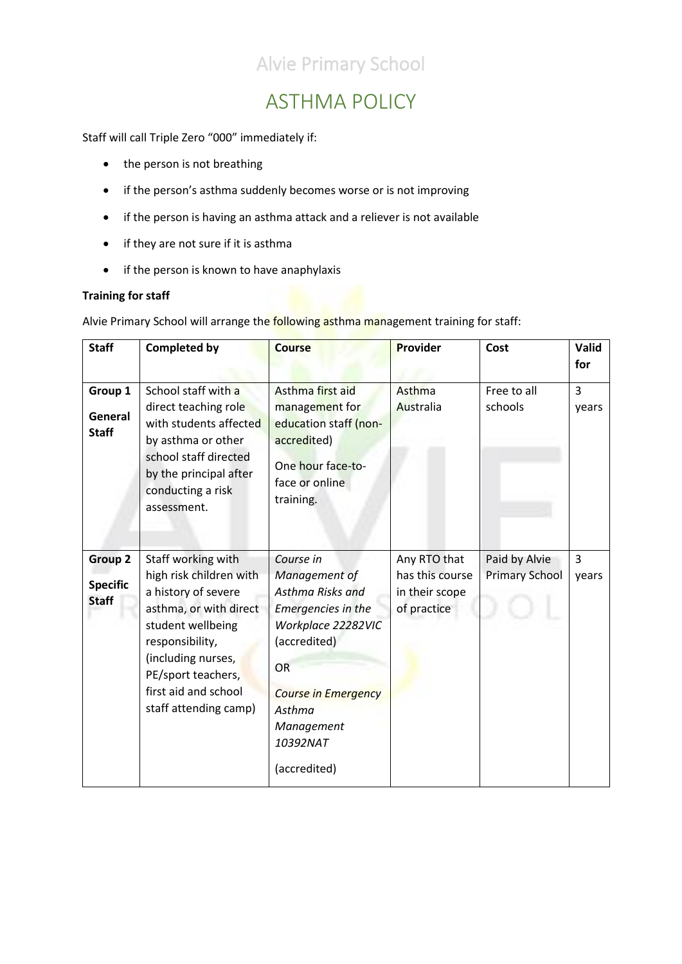## ASTHMA POLICY

Staff will call Triple Zero "000" immediately if:

- the person is not breathing
- if the person's asthma suddenly becomes worse or is not improving
- if the person is having an asthma attack and a reliever is not available
- if they are not sure if it is asthma
- if the person is known to have anaphylaxis

### **Training for staff**

Alvie Primary School will arrange the **following asthma management training for staff:** 

| <b>Staff</b>                               | <b>Completed by</b>                                                                                                                                                                                                                 | <b>Course</b>                                                                                                                                                                                             | Provider                                                         | Cost                                   | Valid<br>for |
|--------------------------------------------|-------------------------------------------------------------------------------------------------------------------------------------------------------------------------------------------------------------------------------------|-----------------------------------------------------------------------------------------------------------------------------------------------------------------------------------------------------------|------------------------------------------------------------------|----------------------------------------|--------------|
| Group 1<br>General<br><b>Staff</b>         | School staff with a<br>direct teaching role<br>with students affected<br>by asthma or other<br>school staff directed<br>by the principal after<br>conducting a risk<br>assessment.                                                  | Asthma first aid<br>management for<br>education staff (non-<br>accredited)<br>One hour face-to-<br>face or online<br>training.                                                                            | Asthma<br>Australia                                              | Free to all<br>schools                 | 3<br>years   |
| Group 2<br><b>Specific</b><br><b>Staff</b> | Staff working with<br>high risk children with<br>a history of severe<br>asthma, or with direct<br>student wellbeing<br>responsibility,<br>(including nurses,<br>PE/sport teachers,<br>first aid and school<br>staff attending camp) | Course in<br>Management of<br>Asthma Risks and<br>Emergencies in the<br>Workplace 22282VIC<br>(accredited)<br><b>OR</b><br><b>Course in Emergency</b><br>Asthma<br>Management<br>10392NAT<br>(accredited) | Any RTO that<br>has this course<br>in their scope<br>of practice | Paid by Alvie<br><b>Primary School</b> | 3<br>years   |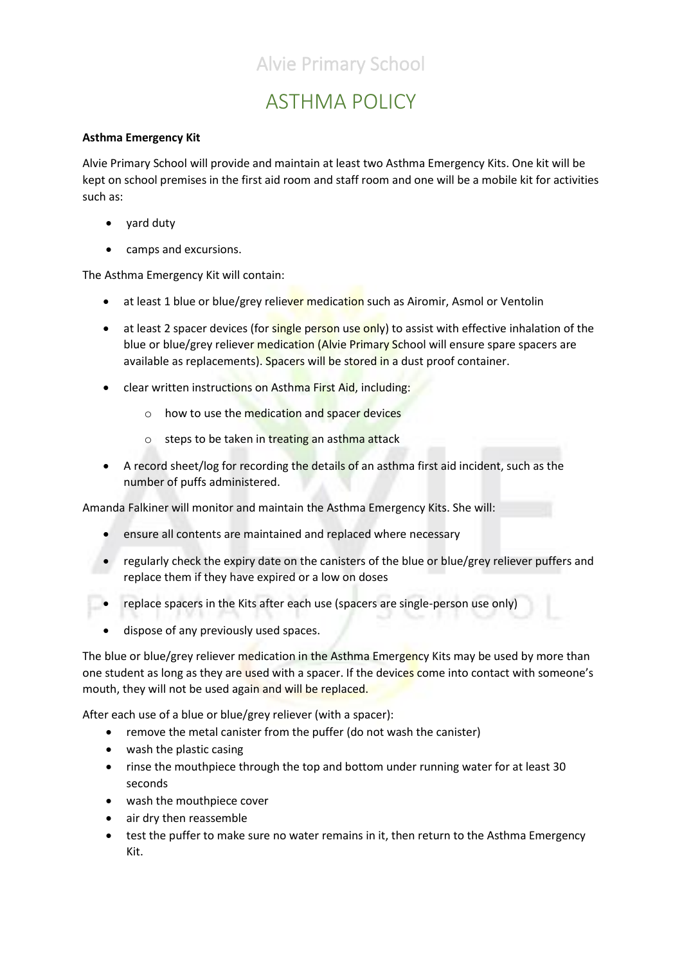## ASTHMA POLICY

### **Asthma Emergency Kit**

Alvie Primary School will provide and maintain at least two Asthma Emergency Kits. One kit will be kept on school premises in the first aid room and staff room and one will be a mobile kit for activities such as:

- yard duty
- camps and excursions.

The Asthma Emergency Kit will contain:

- at least 1 blue or blue/grey reliever medication such as Airomir, Asmol or Ventolin
- at least 2 spacer devices (for single person use only) to assist with effective inhalation of the blue or blue/grey reliever medication (Alvie Primary School will ensure spare spacers are available as replacements). Spacers will be stored in a dust proof container.
- clear written instructions on Asthma First Aid, including:
	- o how to use the medication and spacer devices
	- $\circ$  steps to be taken in treating an asthma attack
- A record sheet/log for recording the details of an asthma first aid incident, such as the number of puffs administered.

Amanda Falkiner will monitor and maintain the Asthma Emergency Kits. She will:

- ensure all contents are maintained and replaced where necessary
- regularly check the expiry date on the canisters of the blue or blue/grey reliever puffers and replace them if they have expired or a low on doses
- replace spacers in the Kits after each use (spacers are single-person use only)
- dispose of any previously used spaces.

The blue or blue/grey reliever medication in the Asthma Emergency Kits may be used by more than one student as long as they are used with a spacer. If the devices come into contact with someone's mouth, they will not be used again and will be replaced.

After each use of a blue or blue/grey reliever (with a spacer):

- remove the metal canister from the puffer (do not wash the canister)
- wash the plastic casing
- rinse the mouthpiece through the top and bottom under running water for at least 30 seconds
- wash the mouthpiece cover
- air dry then reassemble
- test the puffer to make sure no water remains in it, then return to the Asthma Emergency Kit.